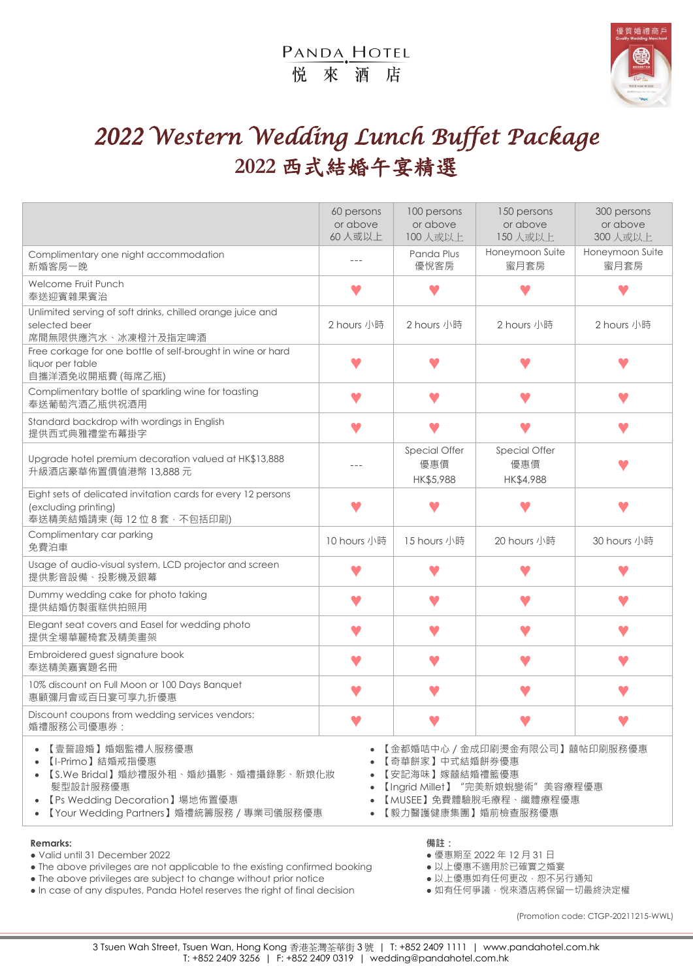## PANDA, HOTEL 悦來酒店



# *2022 Western Wedding Lunch Buffet Package*  **2022** 西式結婚午宴精選

|                                                                                                                                                                    | 60 persons<br>or above<br>60人或以上 | 100 persons<br>or above<br>100人或以上 | 150 persons<br>or above<br>150 人或以上                                                                               | 300 persons<br>or above<br>300 人或以上 |
|--------------------------------------------------------------------------------------------------------------------------------------------------------------------|----------------------------------|------------------------------------|-------------------------------------------------------------------------------------------------------------------|-------------------------------------|
| Complimentary one night accommodation<br>新婚客房一晚                                                                                                                    | $- - -$                          | Panda Plus<br>優悅客房                 | Honeymoon Suite<br>蜜月套房                                                                                           | Honeymoon Suite<br>蜜月套房             |
| Welcome Fruit Punch<br>奉送迎賓雜果賓治                                                                                                                                    |                                  |                                    |                                                                                                                   |                                     |
| Unlimited serving of soft drinks, chilled orange juice and<br>selected beer<br>席間無限供應汽水、冰凍橙汁及指定啤酒                                                                  | 2 hours 小時                       | 2 hours 小時                         | 2 hours 小時                                                                                                        | 2 hours 小時                          |
| Free corkage for one bottle of self-brought in wine or hard<br>liquor per table<br>自攜洋酒免收開瓶費 (每席乙瓶)                                                                |                                  |                                    |                                                                                                                   |                                     |
| Complimentary bottle of sparkling wine for toasting<br>奉送葡萄汽酒乙瓶供祝酒用                                                                                                |                                  |                                    |                                                                                                                   |                                     |
| Standard backdrop with wordings in English<br>提供西式典雅禮堂布幕掛字                                                                                                         |                                  |                                    |                                                                                                                   |                                     |
| Upgrade hotel premium decoration valued at HK\$13,888<br>升級酒店豪華佈置價值港幣 13,888元                                                                                      |                                  | Special Offer<br>優惠價<br>HK\$5,988  | Special Offer<br>優惠價<br>HK\$4,988                                                                                 |                                     |
| Eight sets of delicated invitation cards for every 12 persons<br>(excluding printing)<br>奉送精美結婚請柬 (每 12 位 8 套 · 不包括印刷)                                             |                                  |                                    |                                                                                                                   |                                     |
| Complimentary car parking<br>免費泊車                                                                                                                                  | 10 hours 小時                      | 15 hours 小時                        | 20 hours 小時                                                                                                       | 30 hours 小時                         |
| Usage of audio-visual system, LCD projector and screen<br>提供影音設備、投影機及銀幕                                                                                            |                                  |                                    |                                                                                                                   |                                     |
| Dummy wedding cake for photo taking<br>提供結婚仿製蛋糕供拍照用                                                                                                                |                                  |                                    |                                                                                                                   |                                     |
| Elegant seat covers and Easel for wedding photo<br>提供全場華麗椅套及精美畫架                                                                                                   |                                  |                                    |                                                                                                                   |                                     |
| Embroidered guest signature book<br>奉送精美嘉賓題名冊                                                                                                                      |                                  |                                    |                                                                                                                   |                                     |
| 10% discount on Full Moon or 100 Days Banquet<br>惠顧彌月會或百日宴可享九折優惠                                                                                                   |                                  |                                    |                                                                                                                   |                                     |
| Discount coupons from wedding services vendors:<br>婚禮服務公司優惠券:                                                                                                      |                                  |                                    |                                                                                                                   |                                     |
| 【壹誓證婚】婚姻監禮人服務優惠<br>【I-Primo】結婚戒指優惠<br>【S.We Bridal】婚紗禮服外租、婚紗攝影、婚禮攝錄影、新娘化妝<br>髮型設計服務優惠<br>【Ps Wedding Decoration】場地佈置優惠<br>【Your Wedding Partners】婚禮統籌服務 / 專業司儀服務優惠 |                                  | 【奇華餅家】中式結婚餅券優惠<br>• 【安記海味】嫁囍結婚禮籃優惠 | • 【金都婚咭中心 / 金成印刷燙金有限公司】囍帖印刷服務優惠<br>【Ingrid Millet】"完美新娘蛻變術"美容療程優惠<br>【MUSEE】免費體驗脫毛療程、纖體療程優惠<br>【毅力醫護健康集團】婚前檢查服務優惠 |                                     |
| <b>Remarks:</b><br>· Valid until 31 December 2022                                                                                                                  |                                  | 備註:                                | ● 優惠期至 2022年12月31日                                                                                                |                                     |

● The above privileges are not applicable to the existing confirmed booking  $\bullet \vee \perp \circ \circ \vee \bullet \vee \perp \circ \circ \vee \bullet \vee \perp \circ \circ \bullet \vee \perp \circ \bullet \vee \perp \circ \bullet \vee \perp \circ \bullet \vee \perp \circ \bullet \vee \perp \circ \bullet \vee \perp \circ \bullet \vee \perp \circ \bullet \vee \perp \circ \bullet \vee \perp \circ \bullet \vee \perp \circ \$ 

● The above privileges are subject to change without prior notice <br>● In case of any disputes, Panda Hotel reserves the right of final decision ● 如有任何爭議, 悅來酒店將保留一切最終決定權 . In case of any disputes, Panda Hotel reserves the right of final decision

(Promotion code: CTGP-20211215-WWL)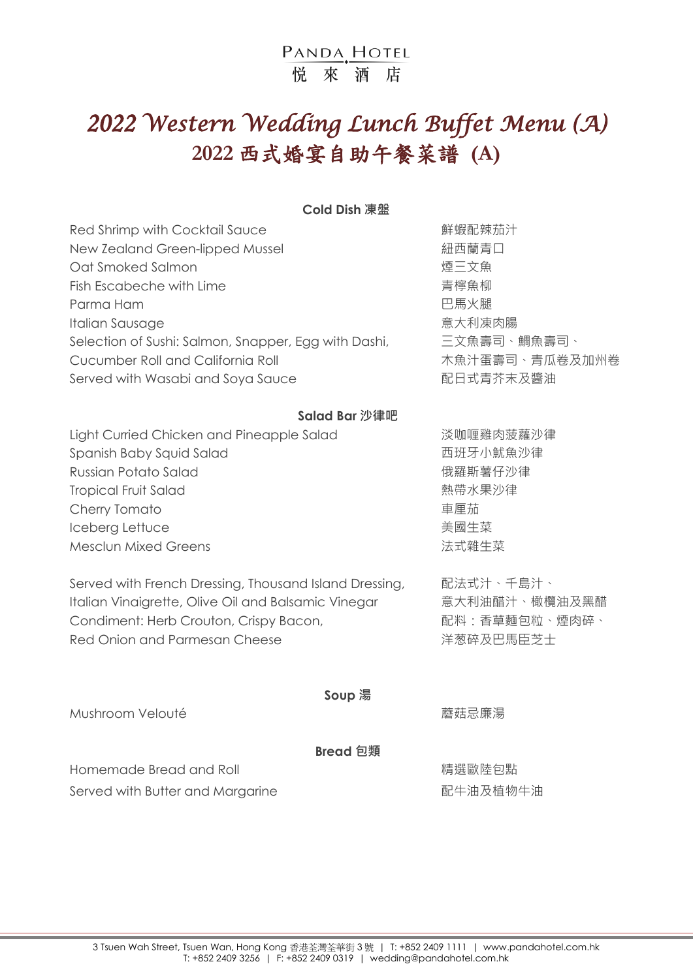## PANDA HOTEL 悦 來 洒 店

# *2022 Western Wedding Lunch Buffet Menu (A)*  **2022** 西式婚宴自助午餐菜譜 **(A)**

#### **Cold Dish 凍盤**

| Red Shrimp with Cocktail Sauce                       | 鮮蝦配辣茄汁         |
|------------------------------------------------------|----------------|
| New Zealand Green-lipped Mussel                      | 紐西蘭青口          |
| Oat Smoked Salmon                                    | 煙三文魚           |
| Fish Escabeche with Lime                             | 青檸魚柳           |
| Parma Ham                                            | 巴馬火腿           |
| Italian Sausage                                      | 意大利凍肉腸         |
| Selection of Sushi: Salmon, Snapper, Egg with Dashi, | 三文魚壽司、鯛魚壽司、    |
| Cucumber Roll and California Roll                    | 木魚汁蛋壽司、青瓜卷及加州卷 |
| Served with Wasabi and Soya Sauce                    | 配日式青芥末及醬油      |

#### **Salad Bar 沙律吧**

Light Curried Chicken and Pineapple Salad Window 淡咖喱雞肉菠蘿沙律 Spanish Baby Squid Salad The Content of The Text of The Text of The Text of The Text of The Text of The Text o Russian Potato Salad インプレント インタントリック おおところ おおしゃ 俄羅斯薯仔沙律 Tropical Fruit Salad 熱帶水果沙律 Cherry Tomato **beach and the control of the control control control of the control of the control of the control of the control of the control of the control of the control of the control of the control of the control of** Iceberg Lettuce 美國生菜 Mesclun Mixed Greens <br>
<br />
<br>
Mesclun Mixed Greens <br>
<br>  $\frac{d}{dx} \mathbf{X} + \mathbf{X} \mathbf{X} + \mathbf{X} \mathbf{X} + \mathbf{X} \mathbf{X} + \mathbf{X} \mathbf{X} + \mathbf{X} \mathbf{X} + \mathbf{X} \mathbf{X} + \mathbf{X} \mathbf{X} + \mathbf{X} \mathbf{X} + \mathbf{X} \mathbf{X} + \mathbf{X} \mathbf{X} + \mathbf{X} \mathbf{X} + \mathbf{X}$ 

Served with French Dressing, Thousand Island Dressing, 配法式汁、千島汁、 Italian Vinaigrette, Olive Oil and Balsamic Vinegar 意大利油醋汁、橄欖油及黑醋 Condiment: Herb Crouton, Crispy Bacon, 配料:香草麵包粒、煙肉碎、 Red Onion and Parmesan Cheese 洋葱碎及巴馬臣芝士

Mushroom Velouté 蘑菇忌廉湯

## **Soup 湯**

### **Bread 包類**

Homemade Bread and Roll **homemade Bread and Roll http://www.fragmental.com** 

Served with Butter and Margarine **Example 20** 亚牛油及植物牛油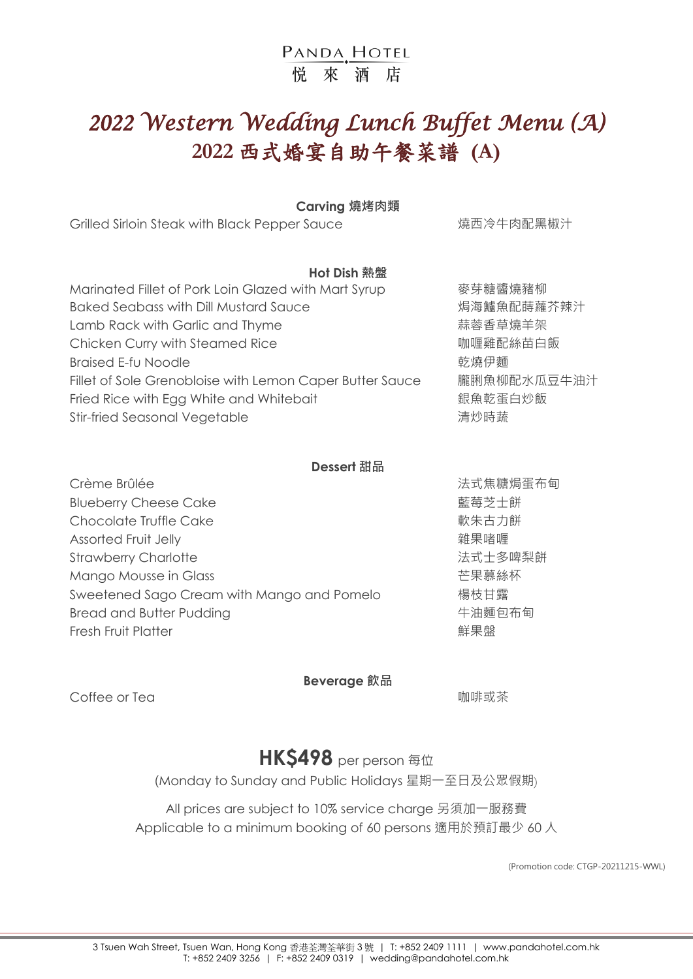## PANDA HOTEL 悦來洒店

# *2022 Western Wedding Lunch Buffet Menu (A)*  **2022** 西式婚宴自助午餐菜譜 **(A)**

### **Carving 燒烤肉類**

Grilled Sirloin Steak with Black Pepper Sauce **being the proof of the Steak** 糖西冷牛肉配黑椒汁

## **Hot Dish 熱盤**

| Marinated Fillet of Pork Loin Glazed with Mart Syrup     | 麥芽糖醬燒豬柳     |
|----------------------------------------------------------|-------------|
| <b>Baked Seabass with Dill Mustard Sauce</b>             | 焗海鱸魚配蒔蘿芥辣汁  |
| Lamb Rack with Garlic and Thyme                          | 蒜蓉香草燒羊架     |
| Chicken Curry with Steamed Rice                          | 咖喱雞配絲苗白飯    |
| <b>Braised E-fu Noodle</b>                               | 乾燒伊麵        |
| Fillet of Sole Grenobloise with Lemon Caper Butter Sauce | 朧脷魚柳配水瓜豆牛油汁 |
| Fried Rice with Egg White and Whitebait                  | 銀魚乾蛋白炒飯     |
| <b>Stir-fried Seasonal Vegetable</b>                     | 清炒時蔬        |
|                                                          |             |

## **Dessert 甜品**

| Crème Brûlée                               | 法式焦糖焗蛋布甸 |
|--------------------------------------------|----------|
| <b>Blueberry Cheese Cake</b>               | 藍莓芝士餅    |
| Chocolate Truffle Cake                     | 軟朱古力餅    |
| Assorted Fruit Jelly                       | 雜果啫喱     |
| <b>Strawberry Charlotte</b>                | 法式士多啤梨餅  |
| Mango Mousse in Glass                      | 芒果慕絲杯    |
| Sweetened Sago Cream with Mango and Pomelo | 楊枝甘露     |
| <b>Bread and Butter Pudding</b>            | 牛油麵包布甸   |
| <b>Fresh Fruit Platter</b>                 | 鮮果盤      |

### **Beverage 飲品**

**Coffee or Tea with the control of the control of the control of the control of the control of the control of the control of the control of the control of the control of the control of the control of the control of the** 

## **HK\$498** per person 每位

(Monday to Sunday and Public Holidays 星期一至日及公眾假期)

All prices are subject to 10% service charge 另須加一服務費 Applicable to a minimum booking of 60 persons 適用於預訂最少 60 人

(Promotion code: CTGP-20211215-WWL)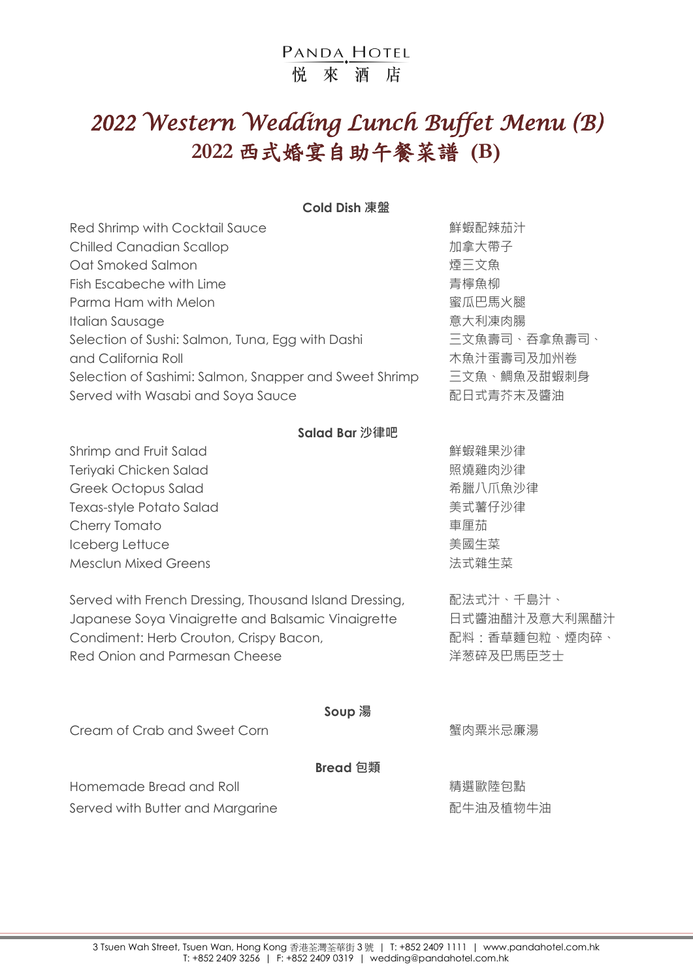## PANDA HOTEL 悦 來 洒 店

# *2022 Western Wedding Lunch Buffet Menu (B)*  **2022** 西式婚宴自助午餐菜譜 **(B)**

### **Cold Dish 凍盤**

| Red Shrimp with Cocktail Sauce                         | 鮮蝦配辣茄汁       |
|--------------------------------------------------------|--------------|
| <b>Chilled Canadian Scallop</b>                        | 加拿大帶子        |
| Oat Smoked Salmon                                      | 煙三文魚         |
| Fish Escabeche with Lime                               | 青檸魚柳         |
| Parma Ham with Melon                                   | 蜜瓜巴馬火腿       |
| Italian Sausage                                        | 意大利凍肉腸       |
| Selection of Sushi: Salmon, Tuna, Egg with Dashi       | 三文魚壽司、吞拿魚壽司、 |
| and California Roll                                    | 木魚汁蛋壽司及加州卷   |
| Selection of Sashimi: Salmon, Snapper and Sweet Shrimp | 三文魚、鯛魚及甜蝦刺身  |
| Served with Wasabi and Soya Sauce                      | 配日式青芥末及醬油    |

## **Salad Bar 沙律吧**

Shrimp and Fruit Salad **the control of the Control of Shrimp** and Fruit Salad Teriyaki Chicken Salad <br>
Teriyaki Chicken Salad Greek Octopus Salad 希臘八爪魚沙律 Texas-style Potato Salad <br>
<a> **Texas-style Potato Salad** Cherry Tomato **the controller of the controller of the controller of the controller of the controller of the co** Iceberg Lettuce 美國生菜 Mesclun Mixed Greens <br>
<br>
<u>
</u><br>
<br>
Mesclun Mixed Greens

Served with French Dressing, Thousand Island Dressing, 配法式汁、千島汁、 Japanese Soya Vinaigrette and Balsamic Vinaigrette 日式醬油醋汁及意大利黑醋汁 Condiment: Herb Crouton, Crispy Bacon, The Manager and Manager and Manager and Manager and Manager a Red Onion and Parmesan Cheese **Accord Particle State State State X** 洋葱碎及巴馬臣芝士

Cream of Crab and Sweet Corn 蟹肉粟米忌廉湯

## **Soup 湯**

**Bread 包類**

Homemade Bread and Roll イントリング こうしゃ おくしゃ おくしゃ 精選歐陸包點

Served with Butter and Margarine <br>
and the contraction of the Margarine and Margarine and the Margarine and Theorem and The Margarine and Theorem